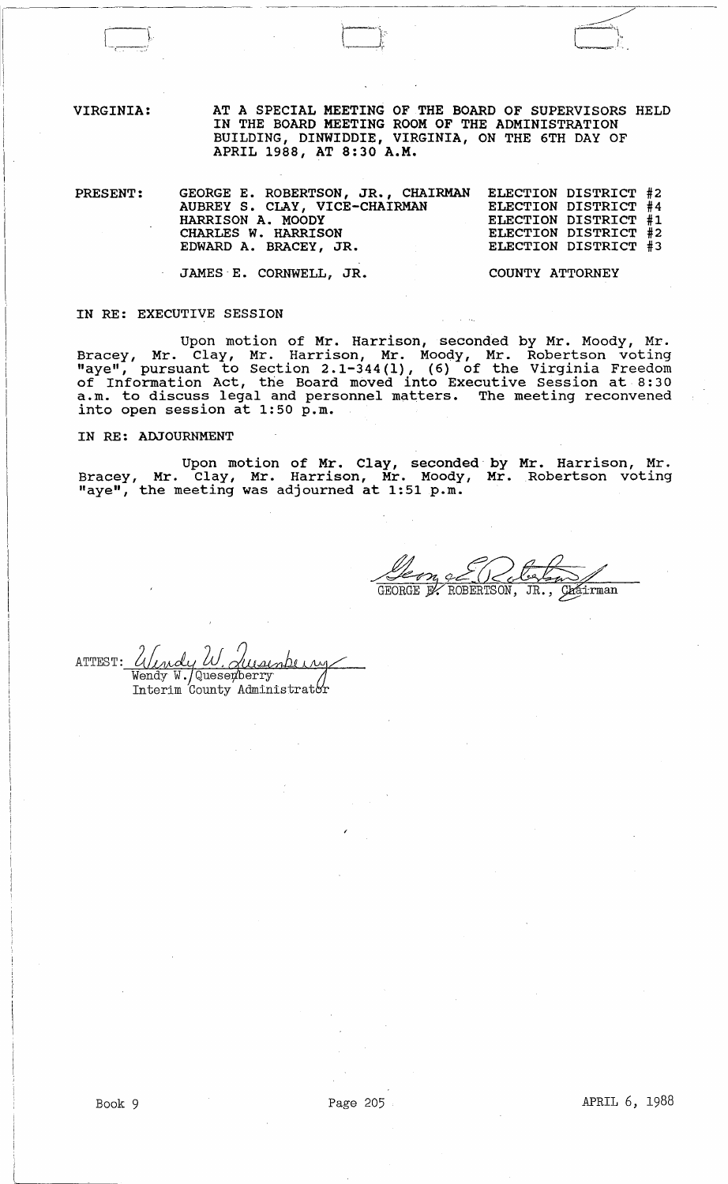VIRGINIA:

AT A SPECIAL MEETING OF THE BOARD OF SUPERVISORS HELD IN THE BOARD MEETING ROOM OF THE ADMINISTRATION BUILDING, DINWIDDIE, VIRGINIA, ON THE 6TH DAY OF APRIL 1988, AT 8:30 A.M.

PRESENT: GEORGE E. ROBERTSON, JR., CHAIRMAN AUBREY S. CLAY, VICE-CHAIRMAN HARRISON A. MOODY CHARLES W. HARRISON EDWARD A. BRACEY, JR. ELECTION DISTRICT #2 ELECTION DISTRICT #4 ELECTION DISTRICT #1 ELECTION DISTRICT #2 ELECTION DISTRICT #3 COUNTY ATTORNEY

JAMES 'E. CORNWELL, JR.

### IN RE: EXECUTIVE SESSION

Upon motion of Mr. Harrison, seconded by Mr. Moody, Mr. Bracey, Mr. Clay, Mr. Harrison, Mr. Moody, Mr. Robertson voting may and to section 2.1-344(1), (6) of the Virginia Freedom of Information Act, the Board moved into Executive Session at 8:30 a.m. to discuss legal and personnel matters. The meeting reconvened into open session at 1:50 p.m.

IN RE: ADJOURNMENT

Upon motion of Mr. Clay, seconded by Mr. Harrison, Mr. Bracey, Mr. Clay, Mr. Harrison, Mr. Moody, Mr. Robertson voting may milling the meeting was adjourned at 1:51 p.m.

GEORGE BY ROBERTSON, JR., Chairman

, W ATTEST: dusenbe Wendy W. Quesexberry Interim County Administrator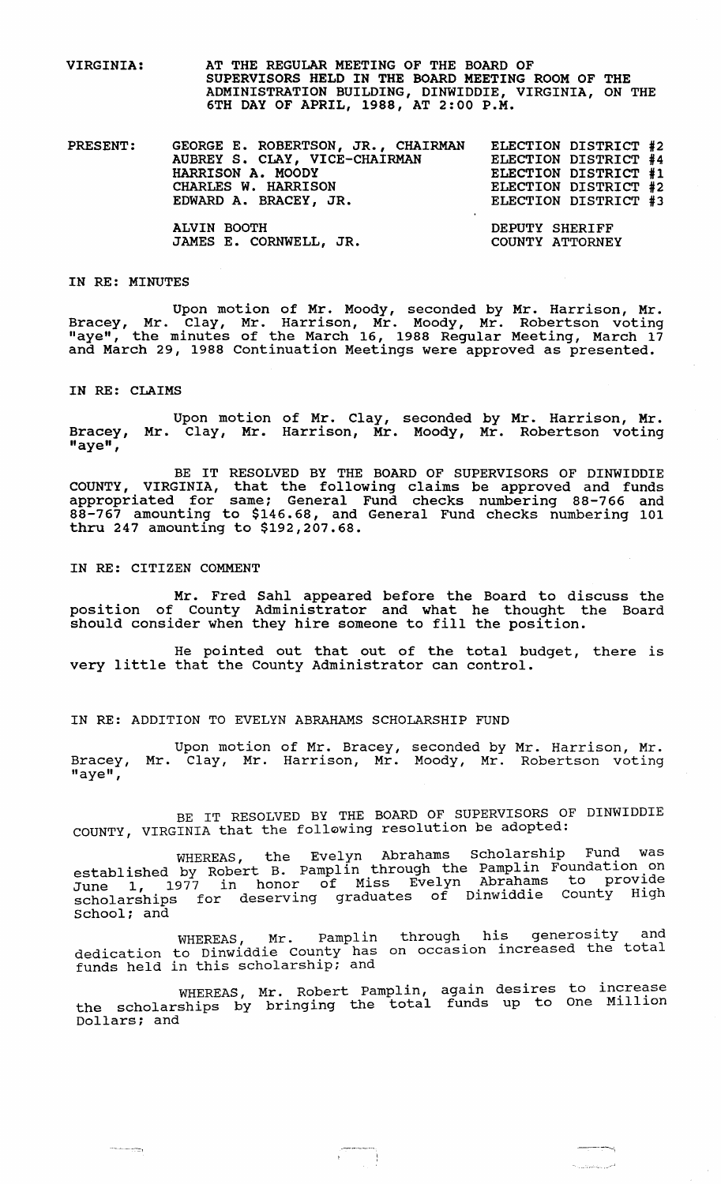VIRGINIA: AT THE REGULAR MEETING OF THE BOARD OF SUPERVISORS HELD IN THE BOARD MEETING ROOM OF THE ADMINISTRATION BUILDING, DINWIDDIE, VIRGINIA, ON THE 6TH DAY OF APRIL, 1988, AT 2:00 P.M.

| <b>PRESENT:</b> | GEORGE E. ROBERTSON, JR., CHAIRMAN<br>AUBREY S. CLAY, VICE-CHAIRMAN<br>HARRISON A. MOODY<br>CHARLES W. HARRISON<br>EDWARD A. BRACEY, JR. | ELECTION DISTRICT #2<br>ELECTION DISTRICT #4<br>ELECTION DISTRICT #1<br>ELECTION DISTRICT #2<br>ELECTION DISTRICT #3 |
|-----------------|------------------------------------------------------------------------------------------------------------------------------------------|----------------------------------------------------------------------------------------------------------------------|
|                 | ALVIN BOOTH<br>JAMES E. CORNWELL, JR.                                                                                                    | DEPUTY SHERIFF<br>COUNTY ATTORNEY                                                                                    |

#### IN RE: MINUTES

Upon motion of Mr. Moody, seconded by Mr. Harrison, Mr. Bracey, Mr. Clay, Mr. Harrison, Mr. Moody, Mr. Robertson voting "aye", the minutes of the March 16, 1988 Regular Meeting, March 17 and March 29, 1988 continuation Meetings were approved as presented.

#### IN RE: CLAIMS

-.- --\_.\_--=-,

Upon motion of Mr. Clay, seconded by Mr. Harrison, Mr. Bracey, Mr. Clay, Mr. Harrison, Mr. Moody, Mr. Robertson voting "aye",

BE IT RESOLVED BY THE BOARD OF SUPERVISORS OF DINWIDDIE COUNTY, VIRGINIA, that the following claims be approved and funds appropriated for same: General Fund checks numbering 88-766 and 88-767 amounting to \$146.68, and General Fund checks nUmbering 101 thru 247 amounting to \$192,207.68.

IN RE: CITIZEN COMMENT

Mr. Fred Sahl appeared before the Board to discuss the position of County Administrator and what he thought the Board should consider when they hire someone to fill the position.

He pointed out that out of the total budget, there is very little that the County Administrator can control.

#### IN RE: ADDITION TO EVELYN ABRAHAMS SCHOLARSHIP FUND

Upon motion of Mr. Bracey, seconded by Mr. Harrison, Mr. Bracey, Mr. Clay, Mr. Harrison, Mr. Moody, Mr. Robertson voting "aye",

BE IT RESOLVED BY THE BOARD OF SUPERVISORS OF DINWIDDIE COUNTY, VIRGINIA that the foll~wing resolution be adopted:

WHEREAS, the Evelyn Abrahams Scholarship Fund was established by Robert B. Pamplin through the Pamplin Foundation on June 1, 1977 in honor of Miss Evelyn Abrahams to provide scholarships for deserving graduates of Dinwiddie County High School: and

WHEREAS, Mr. pamplin dedication to Dinwiddie County has dedication to binwruare councy has through his generosity and on occasion increased the total

WHEREAS, Mr. Robert Pamplin, the scholarships by bringing the total Dollars; and again desires to increase funds up to One Million

 $\begin{picture}(20,20) \put(0,0){\line(1,0){10}} \put(15,0){\line(1,0){10}} \put(15,0){\line(1,0){10}} \put(15,0){\line(1,0){10}} \put(15,0){\line(1,0){10}} \put(15,0){\line(1,0){10}} \put(15,0){\line(1,0){10}} \put(15,0){\line(1,0){10}} \put(15,0){\line(1,0){10}} \put(15,0){\line(1,0){10}} \put(15,0){\line(1,0){10}} \put(15,0){\line(1$ 

 $\frac{1}{2} \left( \frac{1}{2} \left( \frac{1}{2} \left( \frac{1}{2} \left( \frac{1}{2} \left( \frac{1}{2} \left( \frac{1}{2} \left( \frac{1}{2} \right) \right) - \frac{1}{2} \left( \frac{1}{2} \left( \frac{1}{2} \right) \right) \right) \right) \right) - \frac{1}{2} \left( \frac{1}{2} \left( \frac{1}{2} \left( \frac{1}{2} \left( \frac{1}{2} \left( \frac{1}{2} \right) - \frac{1}{2} \left( \frac{1}{2} \right) \right) \right) \right) - \frac$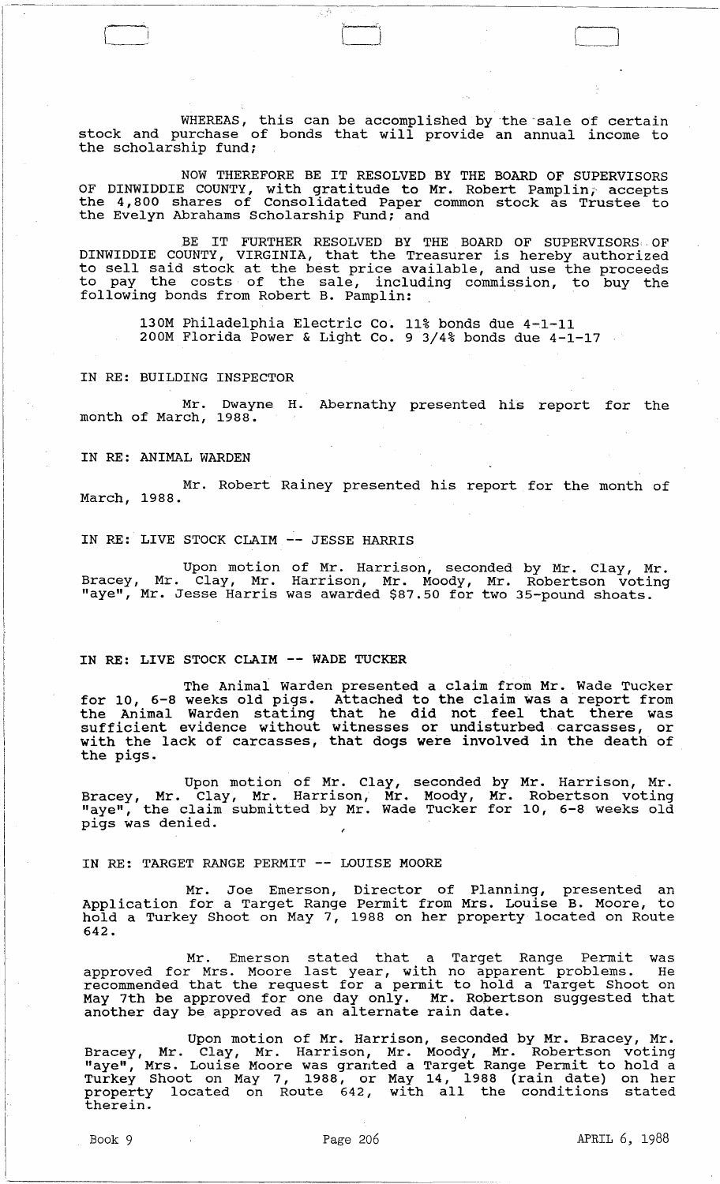WHEREAS, this can be accomplished by the sale of certain stock and purchase of bonds that will provide an annual income to the scholarship fund;

 $\perp$ 

NOW THEREFORE BE IT RESOLVED BY THE BOARD OF SUPERVISORS OF DINWIDDIE COUNTY, with gratitude to Mr. Robert Pamplin; accepts the 4,800 shares of Consolidated Paper common stock as Trustee to the Evelyn Abrahams Scholarship Fund; and

BE IT FURTHER RESOLVED BY THE BOARD OF SUPERVISORS OF DINWIDDIE COUNTY, VIRGINIA, that the Treasurer is hereby authorized to sell said stock at the best price available, and use the proceeds to pay the costs of the sale, including commission, to buy the BE IT FURTHER RESOLVED BY THE BOARD OF SUPI<br>DINWIDDIE COUNTY, VIRGINIA, that the Treasurer is hereby<br>to sell said stock at the best price available, and use t<br>to pay the costs of the sale, including commission,<br>following b

130M Philadelphia Electric Co. 11% bonds due 4-1-11 200M Florida Power & Light Co. 9 3/4% bonds due 4-1-17

IN RE: BUILDING INSPECTOR

Dwayne H. Abernathy presented his report for the Mr. Dwayn<br>month of March, 1988.

IN RE: ANIMAL WARDEN

Mr. Robert Rainey presented his report for the month of March, 1988.

IN RE: LIVE STOCK CLAIM -- JESSE HARRIS

 $\Box$ 

Upon motion of Mr. Harrison, seconded by Mr. Clay, Mr. Bracey, Mr. Clay, Mr. Harrison, Mr. Moody, Mr. Robertson voting "aye", Mr. Jesse Harris was awarded \$87.50 for two 35-pound shoats.

# IN RE: LIVE STOCK CLAIM -- WADE TUCKER

The Animal Warden presented a claim from Mr. Wade Tucker for 10, 6-8 weeks old pigs. Attached to the claim was a report from the Animal Warden stating that he did not feel that there was sufficient evidence without witnesses or undisturbed carcasses, or with the lack of carcasses, that dogs were involved in the death of the pigs.

Upon motion of Mr. Clay, seconded by Mr. Harrison, Mr. Bracey, Mr. Clay, Mr. Harrison, Mr. Moody, Mr. Robertson voting "aye", the claim submitted by Mr. Wade Tucker for 10, 6-8 weeks old pigs was denied.

IN RE: TARGET RANGE PERMIT -- LOUISE MOORE

Mr. Joe Emerson, Director of Planning, presented an Application for a Target Range Permit from Mrs. Louise B. Moore, to hold a Turkey Shoot on May 7, 1988 on her property located on Route 642.

Mr. Emerson stated that a Target Range Permit was approved for Mrs. Moore last year, with no apparent problems. He approved for mis. Hoord rase year, with ho apparence prosiems. He<br>recommended that the request for a permit to hold a Target Shoot on May 7th be approved for one day only. Mr. Ropertson suggested that hay fen be approved for one day only. In the hober.

Upon motion of Mr. Harrison, seconded by Mr. Bracey, Mr. Bracey, Mr. Clay, Mr. Harrison, Mr. Moody, Mr. Robertson voting "aye", Mrs. Louise Moore was granted a Target Range Permit to hold a Turkey Shoot on May 7, 1988, or May 14, 1988 (rain date) on her property located on Route 642, with all the conditions stated therein.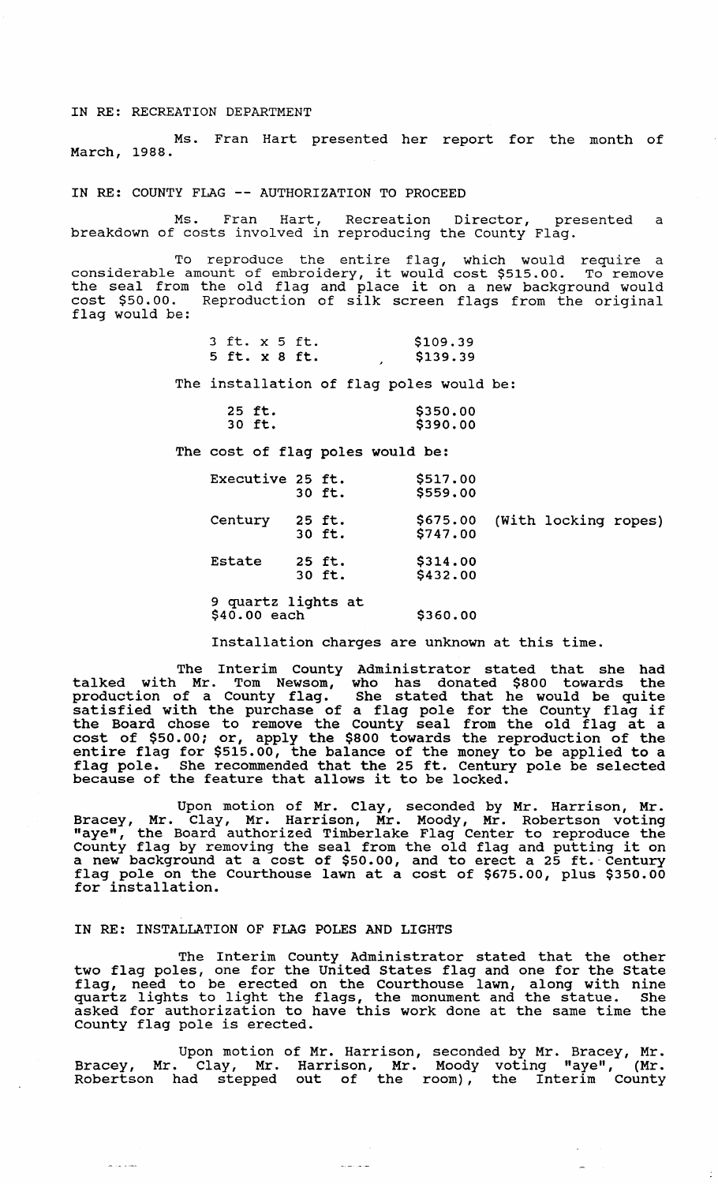#### IN RE: RECREATION DEPARTMENT

Ms. Fran Hart presented her report for the month of March, 1988.

# IN RE: COUNTY FLAG -- AUTHORIZATION TO PROCEED

Ms. Fran Hart, Recreation Director, presented a breakdown of costs involved in reproducing the County Flag.

To reproduce the entire flag, which would require a considerable amount of embroidery, it would cost \$515.00. To remove considerable amount of embroidery, it would cost \$515.00. To remove<br>the seal from the old flag and place it on a new background would cost \$50.00. Reproduction of silk screen flags from the original flag would be:

| 3 ft. x 5 ft. |  | \$109.39 |
|---------------|--|----------|
| 5 ft. x 8 ft. |  | \$139.39 |

The installation of flag poles would be:

| 25 ft. | \$350.00 |
|--------|----------|
| 30 ft. | \$390.00 |

The cost of flag poles would be:

| Executive 25 ft.                   | 30 ft.           | \$517.00<br>\$559.00 |                      |  |
|------------------------------------|------------------|----------------------|----------------------|--|
| Century                            | 25 ft.<br>30 ft. | \$675.00<br>\$747.00 | (With locking ropes) |  |
| Estate                             | 25 ft.<br>30 ft. | \$314.00<br>\$432.00 |                      |  |
| 9 quartz lights at<br>\$40.00 each |                  | \$360.00             |                      |  |

Installation charges are unknown at this time.

The Interim County Administrator stated that she had talked with Mr. Tom Newsom, who has donated \$800 towards the production of a County flag. She stated that he would be quite satisfied with the purchase of a flag pole for the County flag if the Board chose to remove the County seal from the old flag at a cost of \$50.00; or, apply the \$800 towards the reproduction of the entire flag for \$515.00, the balance of the money to be applied to a flag pole. She recommended that the 25 ft. Century pole be selected flag pole. She recommended that the 25 ft. Century<br>because of the feature that allows it to be locked.

Upon motion of Mr. Clay, seconded by Mr. Harrison, Mr. Bracey, Mr. Clay, Mr. Harrison, Mr. Moody, Mr. Robertson voting "aye", the Board authorized Timberlake Flag Center to reproduce the County flag by removing the seal from the old flag and putting it on a new background at a cost of \$50.00, and to erect a 25 ft.-Century d hew background at a cost of \$50.00, and to efect a 25 ft. Century<br>flag pole on the Courthouse lawn at a cost of \$675.00, plus \$350.00 for installation.

### IN RE: INSTALLATION OF FLAG POLES AND LIGHTS

The Interim county Administrator stated that the other two flag poles, one for the united states flag and one for the state flag, need to be erected on the Courthouse lawn, along with nine quartz lights to light the flags, the monument and the statue. She asked for authorization to have this work done at the same time the County flag pole is erected.

Upon motion of Mr. Harrison, seconded by Mr. Bracey, Mr. Bracey, Mr. Clay, Mr. Harrison, Mr. Moody voting "aye", (Mr. Robertson had stepped out of the room), the Interim County

سأعارض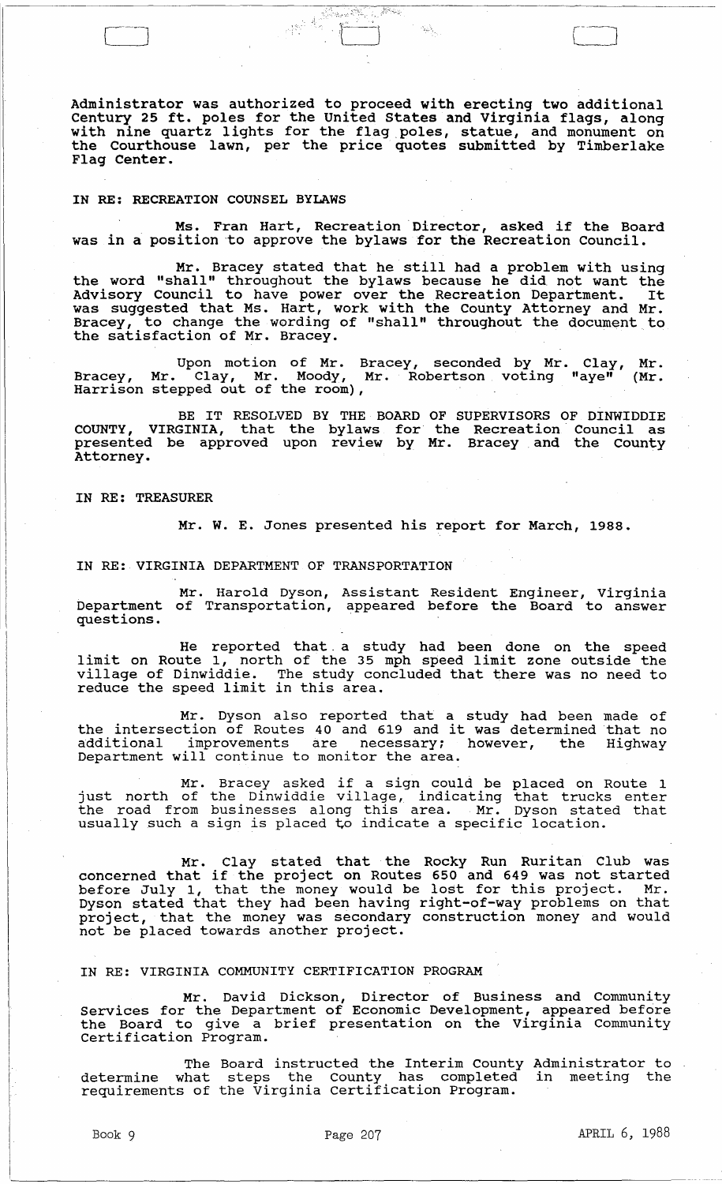Administrator was authorized to proceed with erecting two additional century 25 ft. poles for the united states and Virginia flags, along with nine quartz lights for the flag poles, statue, and monument on the Courthouse lawn, per the price· quotes submitted by Timberlake Flag Center.

 $\delta_{\rm B} \delta_{\rm eq}$ 

### IN RE: RECREATION COUNSEL BYLAWS

Ms. Fran Hart, Recreation· Director, asked if the Board was in a position to approve the bylaws for the Recreation Council.

Mr. Bracey stated that he still had a problem with using the word "shall" throughout the bylaws because he did not want the Advisory Council to have power over the Recreation Department. It was suggested that Ms. Hart, work with the County Attorney and Mr. Bracey, to change the wording of "shall" throughout the document to the satisfaction of Mr. Bracey.

Upon motion of Mr. Bracey, seconded by Mr. Clay, Mr. Bracey, Mr. Clay, Mr. Moody, Mr. Robertson voting "aye" (Mr. Harrison stepped out of the room),

BE IT RESOLVED BY THE BOARD OF SUPERVISORS OF DINWIDDIE COUNTY, VIRGINIA, that the bylaws for the Recreation Council as presented be approved upon review by Mr. Bracey and the county Attorney.

IN RE: TREASURER

Mr. W. E. Jones presented his report for March, 1988.

IN RE: VIRGINIA DEPARTMENT OF TRANSPORTATION

Mr. Harold Dyson, Assistant Resident Engineer, Virginia Department of Transportation, appeared before the Board to answer questions.

He reported that a study had been done on the speed limit on Route 1, north of the 35 mph speed limit zone outside the village of Dinwiddie. The study concluded that there was no need to virings of Binwradic. The Study Con.

Mr. Dyson also reported that a study had been made of mr. Dyson also reported that a study had been made of<br>the intersection of Routes 40 and 619 and it was determined that no additional improvements are necessary; however, the Highway diated intervalshed are incorportly.

Mr. Bracey asked if a sign could be placed on Route 1 just north of the Dinwiddie village, indicating that trucks enter the road from businesses along this area. Mr. Dyson stated that the foad from businesses along this died. This byson state

Mr. Clay stated that the Rocky Run Ruritan Club was concerned that if the project on Routes 650 and 649 was not started before July 1, that the money would be lost for this project. Mr. Dyson stated that they had been having right-of-way problems on that project, that the money was secondary construction money and would not be placed towards another project.

IN RE: VIRGINIA COMMUNITY CERTIFICATION PROGRAM

Mr. David Dickson, Director of Business and Community Services for the Department of Economic Development, appeared before the Board to give a brief presentation on the Virginia Community Certification Program.

The Board instructed the Interim County Administrator to determine what steps the County has completed in meeting the requirements of the Virginia Certification Program.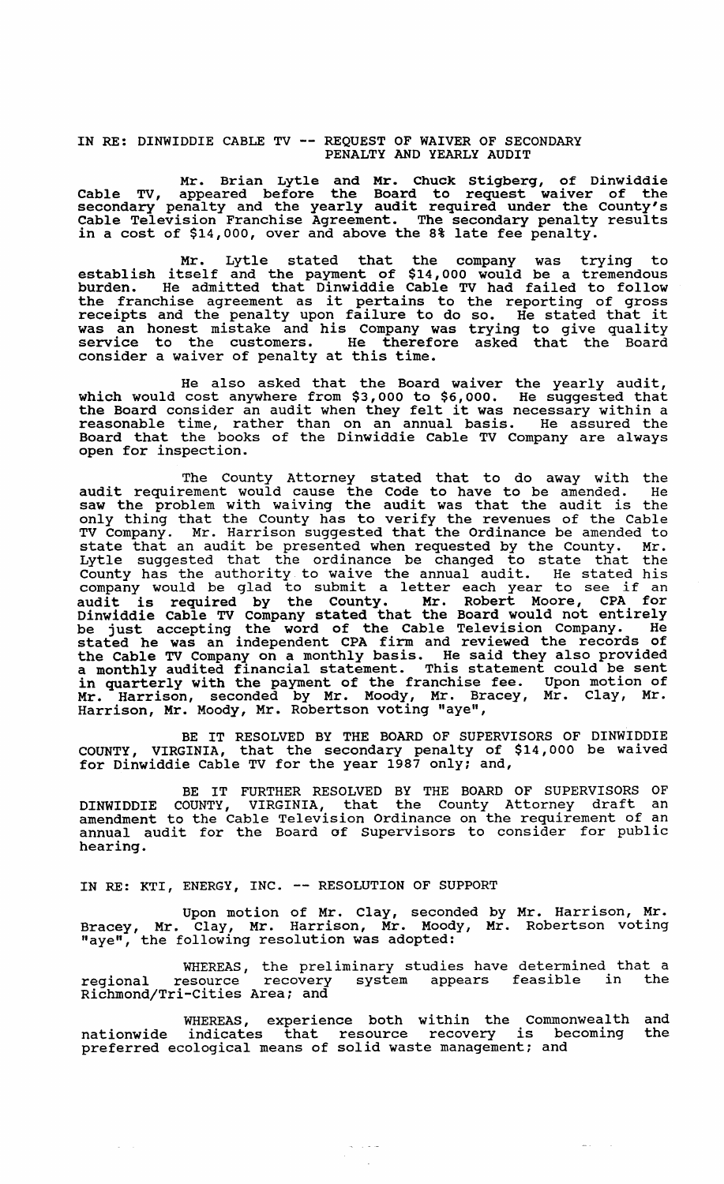# IN RE: DINWIDDIE CABLE TV -- REQUEST OF WAIVER OF SECONDARY PENALTY AND YEARLY AUDIT

Mr. Brian Lytle and Mr. Chuck Stigberg, of Dinwiddie Cable TV, appeared before the Board to request waiver of the secondary penalty and the yearly audit required under the County's Cable Television Franchise Agreement. The secondary penalty results in a cost of \$14,000, over and above the 8% late fee penalty.

Mr. Lytle stated that the company was trying to establish itself and the payment of \$14,000 would be a tremendous burden. He admitted that Dinwiddie Cable TV had failed to follow the franchise agreement as it pertains to the reporting of gross the franchise agreement as it pertains to the reporting of gross<br>receipts and the penalty upon failure to do so. He stated that it was an honest mistake and his Company was trying to give quality service to the customers. He therefore asked that the Board consider a waiver of penalty at this time.

He also asked that the Board waiver the yearly audit, which would cost anywhere from \$3,000 to \$6,000. He suggested that the Board consider an audit when they felt it was necessary within a reasonable time, rather than on an annual basis. He assured the Board that the books of the Dinwiddie Cable TV Company are always open for inspection.

The County Attorney stated that to do away with the audit requirement would cause the Code to have to be amended. He saw the problem with waiving the code to have to be amended. He saw the problem with waiving the audit was that the audit is the only thing that the County has to verify the revenues of the Cable TV Company. Mr. Harrison suggested that the Ordinance be amended to state that an audit be presented when requested by the County. Mr. Lytle suggested that the ordinance be changed to state that the County has the authority to waive the annual audit. He stated his county has the authority to waive the annual audit. He stated his<br>company would be glad to submit a letter each year to see if an audit is required by the County. Mr. Robert Moore, CPA for Dinwiddie Cable TV Company stated that the Board would not entirely be just accepting the word of the Cable Television Company. He stated he was an independent CPA firm and reviewed the records of the Cable TV Company on a monthly basis. He said they also provided a monthly audited financial statement. This statement could be sent in quarterly with the payment of the franchise fee. Upon motion of Mr. Harrison, seconded by Mr. Moody, Mr. Bracey, Mr. Clay, Mr. Harrison, Mr. Moody, Mr. Robertson voting "aye",

BE IT RESOLVED BY THE BOARD OF SUPERVISORS OF DINWIDDIE COUNTY, VIRGINIA, that the secondary penalty of \$14,000 be waived for Dinwiddie Cable TV for the year 1987 only; and,

BE IT FURTHER RESOLVED BY THE BOARD OF SUPERVISORS OF DINWIDDIE COUNTY, VIRGINIA, that the County Attorney draft an amendment to the Cable Television Ordinance on the requirement of an annual audit for the Board of Supervisors to consider for public hearing.

IN RE: KTI, ENERGY, INC. -- RESOLUTION OF SUPPORT

Upon motion of Mr. Clay, seconded by Mr. Harrison, Mr. Bracey, Mr. clay, Mr. Harrison, Mr. Moody, Mr. Robertson voting "aye", the following resolution was adopted:

WHEREAS, the preliminary studies have determined that a regional resource recovery system appears feasible in the regional resource recovery<br>Richmond/Tri-Cities Area; and

WHEREAS, experience both within the Commonwealth and nationwide indicates that resource recovery is becoming the preferred ecological means of solid waste management; and

 $\label{eq:1} \frac{1}{\sqrt{2}}\left(\frac{1}{\sqrt{2}}\right)^2\frac{1}{\sqrt{2}}\left(\frac{1}{\sqrt{2}}\right)^2\frac{1}{\sqrt{2}}\left(\frac{1}{\sqrt{2}}\right)^2.$ 

 $\frac{1}{2}$  and  $\frac{1}{2}$  . In particular,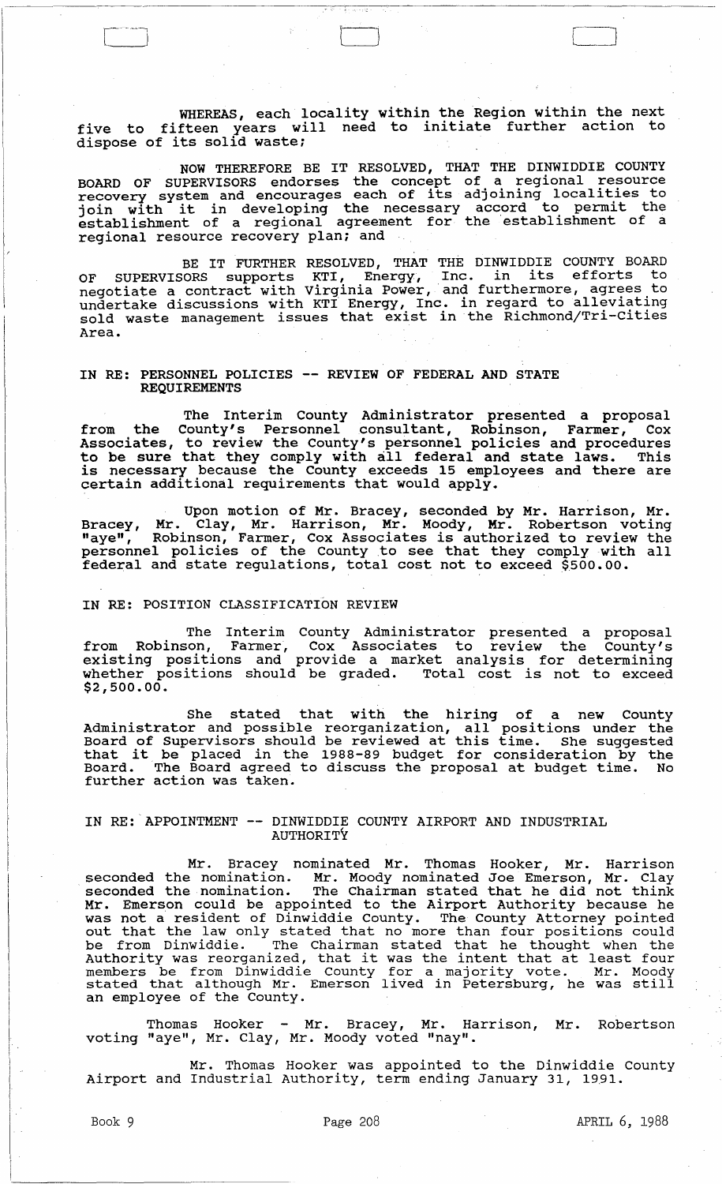WHEREAS, each locality within the Region within the next five to fifteen years will need to initiate further action to dispose of its solid waste;

 $t$  and  $t$  and  $t$  and  $t$  and  $t$  and  $t$  and  $t$  and  $t$  and  $t$  and  $t$  and  $t$  and  $t$  and  $t$  and  $t$  and  $t$  and  $t$  and  $t$  and  $t$  and  $t$  and  $t$  and  $t$  and  $t$  and  $t$  and  $t$  and  $t$  and  $t$  and  $t$  and  $t$  a

NOW THEREFORE BE IT RESOLVED, THAT THE DINWIDDIE COUNTY BOARD OF SUPERVISORS endorses the concept of a regional resource recovery system and encourages each of its adjoining localities to recovery system and encourages each of its adjoining focallities to<br>join with it in developing the necessary accord to permit the establishment of a regional agreement for the establlshment of a regional resource recovery plan; and

BE IT FURTHER RESOLVED, THAT THE DINWIDDIE COUNTY BOARD OF SUPERVISORS supports KTI, Energy, Inc. in its efforts to negotiate a contract with Virginia Power, and furthermore, agrees to undertake discussions with KTI Energy, Inc. ln regard to allevlatlng sold waste management issues that exist in the Richmond/Tri-cities Area.

# IN RE: PERSONNEL POLICIES **--** REVIEW OF FEDERAL AND STATE REQUIREMENTS

The Interim County Administrator presented a proposal from the County's Personnel consultant, Robinson, Farmer, Cox Associates, to review the County's personnel policies and procedures to be sure that they comply with all federal and state laws. This is necessary because the County exceeds 15 employees and there are certain additional requirements that would apply.

Upon motion of Mr. Bracey, seconded by Mr. Harrison, Mr. Bracey, Mr. Clay, Mr. Harrison, Mr. Moody, Mr. Robertson voting Bracey, H. Clay, H. Harrison, H. Hoody, H. Robertson voting<br>"aye", Robinson, Farmer, Cox Associates is authorized to review the personnel policies of the County to see that they comply with all federal and state regulations, total cost not to exceed  $$500.00.$ 

## IN RE: POSITION CLASSIFICATION REVIEW

The Interim County Administrator presented a proposal from Robinson, Farmer, Cox Associates to review the County's existing positions and provide a market analysis for determining whether positions should be graded. Total cost is not to exceed \$2,500.00.

She stated that with the hiring of a new County Administrator and possible reorganization, all positions under the Board of supervisors should be reviewed at this time. She suggested that it be placed in the 1988-89 budget for consideration by the Board. The Board agreed to discuss the proposal at budget time. No further action was taken.

### IN RE:APPOINTMENT -- DINWIDDIE COUNTY AIRPORT AND INDUSTRIAL AUTHORITY

Mr. Bracey nominated Mr. Thomas Hooker, Mr. Harrison seconded the nomination. Mr. Moody nominated Joe Emerson, Mr. Clay seconded the nomination. In: hoody hominated soc Emerson, hi. endy Mr. Emerson could be appointed to the Airport Authority because he was not a resident of Dinwiddie county. The County Attorney pointed was not a resident of binwiddle county. The county Actorney pointed<br>out that the law only stated that no more than four positions could be from Dinwiddie. The Chairman stated that he thought when the Authority was reorganized, that it was the intent that at least four members be from Dinwiddie County for a majority vote. Mr. Moody stated that although Mr. Emerson lived in Petersburg, he was still an employee of the County.

Thomas Hooker - Mr. Bracey, Mr. Harrison, Mr. Robertson voting "aye", Mr. Clay, Mr. Moody voted "nay".

Mr. Thomas Hooker was appointed to the Dinwiddie County Airport and Industrial Authority, term ending January 31, 1991.